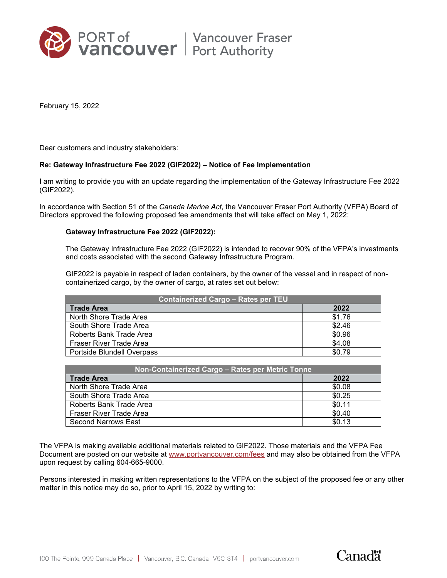

February 15, 2022

Dear customers and industry stakeholders:

## **Re: Gateway Infrastructure Fee 2022 (GIF2022) – Notice of Fee Implementation**

I am writing to provide you with an update regarding the implementation of the Gateway Infrastructure Fee 2022 (GIF2022).

In accordance with Section 51 of the *Canada Marine Act*, the Vancouver Fraser Port Authority (VFPA) Board of Directors approved the following proposed fee amendments that will take effect on May 1, 2022:

## **Gateway Infrastructure Fee 2022 (GIF2022):**

The Gateway Infrastructure Fee 2022 (GIF2022) is intended to recover 90% of the VFPA's investments and costs associated with the second Gateway Infrastructure Program.

GIF2022 is payable in respect of laden containers, by the owner of the vessel and in respect of noncontainerized cargo, by the owner of cargo, at rates set out below:

| <b>Containerized Cargo - Rates per TEU</b> |        |
|--------------------------------------------|--------|
| <b>Trade Area</b>                          | 2022   |
| North Shore Trade Area                     | \$1.76 |
| South Shore Trade Area                     | \$2.46 |
| Roberts Bank Trade Area                    | \$0.96 |
| Fraser River Trade Area                    | \$4.08 |
| Portside Blundell Overpass                 | \$0.79 |

| Non-Containerized Cargo – Rates per Metric Tonne |        |
|--------------------------------------------------|--------|
| <b>Trade Area</b>                                | 2022   |
| North Shore Trade Area                           | \$0.08 |
| South Shore Trade Area                           | \$0.25 |
| Roberts Bank Trade Area                          | \$0.11 |
| Fraser River Trade Area                          | \$0.40 |
| <b>Second Narrows East</b>                       | \$0.13 |

The VFPA is making available additional materials related to GIF2022. Those materials and the VFPA Fee Document are posted on our website at [www.portvancouver.com/fees](http://www.portvancouver.com/fees) and may also be obtained from the VFPA upon request by calling 604-665-9000.

Persons interested in making written representations to the VFPA on the subject of the proposed fee or any other matter in this notice may do so, prior to April 15, 2022 by writing to: